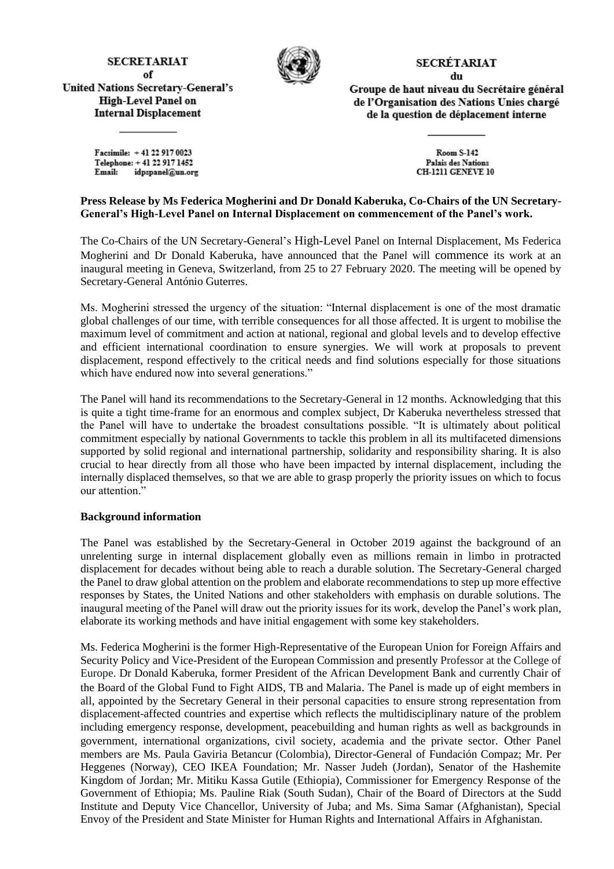## **SECRETARIAT** of

**United Nations Secretary-General's** 

**High-Level Panel on** 

**Internal Displacement** 



## SECRÉTARIAT du

Groupe de haut niveau du Secrétaire général de l'Organisation des Nations Unies chargé de la question de déplacement interne

Facsimile: +41 22 917 0023 Telephone: +41 22 917 1452 Email: idpspanel@un.org

Room S-142 Palais des Nations **CH-1211 GENÈVE 10** 

## **Press Release by Ms Federica Mogherini and Dr Donald Kaberuka, Co-Chairs of the UN Secretary-General's High-Level Panel on Internal Displacement on commencement of the Panel's work.**

The Co-Chairs of the UN Secretary-General's High-Level Panel on Internal Displacement, Ms Federica Mogherini and Dr Donald Kaberuka, have announced that the Panel will commence its work at an inaugural meeting in Geneva, Switzerland, from 25 to 27 February 2020. The meeting will be opened by Secretary-General António Guterres.

Ms. Mogherini stressed the urgency of the situation: "Internal displacement is one of the most dramatic global challenges of our time, with terrible consequences for all those affected. It is urgent to mobilise the maximum level of commitment and action at national, regional and global levels and to develop effective and efficient international coordination to ensure synergies. We will work at proposals to prevent displacement, respond effectively to the critical needs and find solutions especially for those situations which have endured now into several generations."

The Panel will hand its recommendations to the Secretary-General in 12 months. Acknowledging that this is quite a tight time-frame for an enormous and complex subject, Dr Kaberuka nevertheless stressed that the Panel will have to undertake the broadest consultations possible. "It is ultimately about political commitment especially by national Governments to tackle this problem in all its multifaceted dimensions supported by solid regional and international partnership, solidarity and responsibility sharing. It is also crucial to hear directly from all those who have been impacted by internal displacement, including the internally displaced themselves, so that we are able to grasp properly the priority issues on which to focus our attention."

## **Background information**

The Panel was established by the Secretary-General in October 2019 against the background of an unrelenting surge in internal displacement globally even as millions remain in limbo in protracted displacement for decades without being able to reach a durable solution. The Secretary-General charged the Panel to draw global attention on the problem and elaborate recommendations to step up more effective responses by States, the United Nations and other stakeholders with emphasis on durable solutions. The inaugural meeting of the Panel will draw out the priority issues for its work, develop the Panel's work plan, elaborate its working methods and have initial engagement with some key stakeholders.

Ms. Federica Mogherini is the former High-Representative of the European Union for Foreign Affairs and Security Policy and Vice-President of the European Commission and presently Professor at the College of Europe. Dr Donald Kaberuka, former President of the African Development Bank and currently Chair of the Board of the Global Fund to Fight AIDS, TB and Malaria. The Panel is made up of eight members in all, appointed by the Secretary General in their personal capacities to ensure strong representation from displacement-affected countries and expertise which reflects the multidisciplinary nature of the problem including emergency response, development, peacebuilding and human rights as well as backgrounds in government, international organizations, civil society, academia and the private sector. Other Panel members are Ms. Paula Gaviria Betancur (Colombia), Director-General of Fundación Compaz; Mr. Per Heggenes (Norway), CEO IKEA Foundation; Mr. Nasser Judeh (Jordan), Senator of the Hashemite Kingdom of Jordan; Mr. Mitiku Kassa Gutile (Ethiopia), Commissioner for Emergency Response of the Government of Ethiopia; Ms. Pauline Riak (South Sudan), Chair of the Board of Directors at the Sudd Institute and Deputy Vice Chancellor, University of Juba; and Ms. Sima Samar (Afghanistan), Special Envoy of the President and State Minister for Human Rights and International Affairs in Afghanistan.